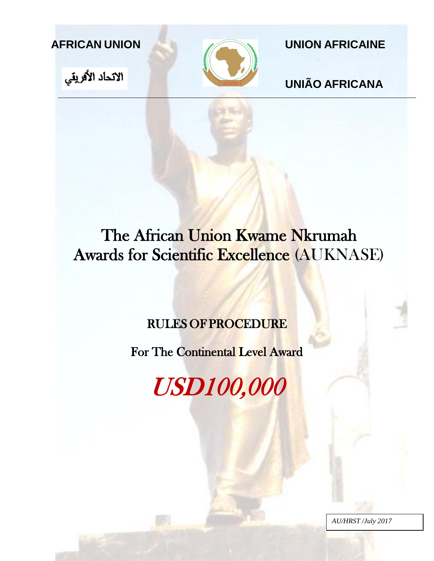





**AFRICAN UNION UNION AFRICAINE**

**UNIÃO AFRICANA**

# The African Union Kwame Nkrumah Awards for Scientific Excellence (AUKNASE)

# RULES OF PROCEDURE

For The Continental Level Award

USD100,000

*AU/HRST /July 2017*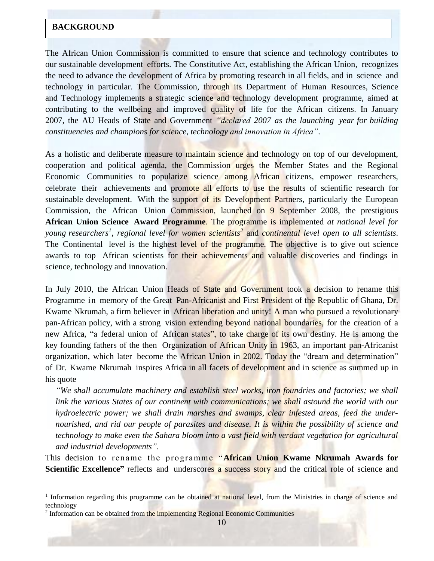#### **BACKGROUND**

The African Union Commission is committed to ensure that science and technology contributes to our sustainable development efforts. The Constitutive Act, establishing the African Union, recognizes the need to advance the development of Africa by promoting research in all fields, and in science and technology in particular. The Commission, through its Department of Human Resources, Science and Technology implements a strategic science and technology development programme, aimed at contributing to the wellbeing and improved quality of life for the African citizens. In January 2007, the AU Heads of State and Government *"declared 2007 as the launching year for building constituencies and champions for science, technology and innovation in Africa"*.

As a holistic and deliberate measure to maintain science and technology on top of our development, cooperation and political agenda, the Commission urges the Member States and the Regional Economic Communities to popularize science among African citizens, empower researchers, celebrate their achievements and promote all efforts to use the results of scientific research for sustainable development. With the support of its Development Partners, particularly the European Commission, the African Union Commission, launched on 9 September 2008, the prestigious **African Union Science Award Programme**. The programme is implemented *at national level for young researchers<sup>1</sup>* , *regional level for women scientists<sup>2</sup>* and *continental level open to all scientists*. The Continental level is the highest level of the programme. The objective is to give out science awards to top African scientists for their achievements and valuable discoveries and findings in science, technology and innovation.

In July 2010, the African Union Heads of State and Government took a decision to rename this Programme in memory of the Great Pan-Africanist and First President of the Republic of Ghana, Dr. Kwame Nkrumah, a firm believer in African liberation and unity! A man who pursued a revolutionary pan-African policy, with a strong vision extending beyond national boundaries, for the creation of a new Africa, "a federal union of African states", to take charge of its own destiny. He is among the key founding fathers of the then Organization of African Unity in 1963, an important pan-Africanist organization, which later become the African Union in 2002. Today the "dream and determination" of Dr. Kwame Nkrumah inspires Africa in all facets of development and in science as summed up in his quote

*"We shall accumulate machinery and establish steel works, iron foundries and factories; we shall link the various States of our continent with communications; we shall astound the world with our hydroelectric power; we shall drain marshes and swamps, clear infested areas, feed the undernourished, and rid our people of parasites and disease. It is within the possibility of science and technology to make even the Sahara bloom into a vast field with verdant vegetation for agricultural and industrial developments".*

This decision to rename the programme "**African Union Kwame Nkrumah Awards for Scientific Excellence"** reflects and underscores a success story and the critical role of science and

 $\overline{a}$ 

<sup>&</sup>lt;sup>1</sup> Information regarding this programme can be obtained at national level, from the Ministries in charge of science and technology

<sup>&</sup>lt;sup>2</sup> Information can be obtained from the implementing Regional Economic Communities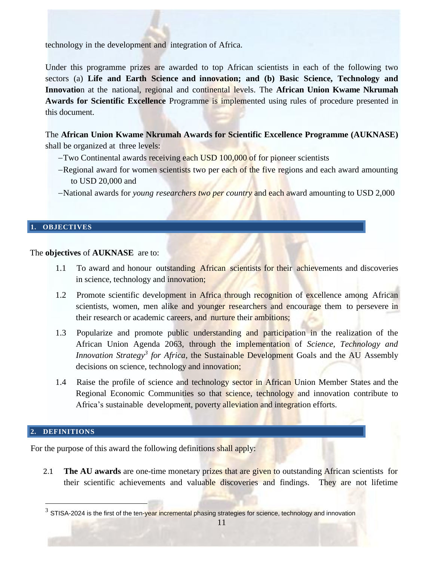technology in the development and integration of Africa.

Under this programme prizes are awarded to top African scientists in each of the following two sectors (a) **Life and Earth Science and innovation; and (b) Basic Science, Technology and Innovatio**n at the national, regional and continental levels. The **African Union Kwame Nkrumah Awards for Scientific Excellence** Programme is implemented using rules of procedure presented in this document.

The **African Union Kwame Nkrumah Awards for Scientific Excellence Programme (AUKNASE)** shall be organized at three levels:

- -Two Continental awards receiving each USD 100,000 of for pioneer scientists
- -Regional award for women scientists two per each of the five regions and each award amounting to USD 20,000 and
- National awards for *young researchers two per country* and each award amounting to USD 2,000

## **1. OBJECTIVES**

The **objectives** of **AUKNASE** are to:

- 1.1 To award and honour outstanding African scientists for their achievements and discoveries in science, technology and innovation;
- 1.2 Promote scientific development in Africa through recognition of excellence among African scientists, women, men alike and younger researchers and encourage them to persevere in their research or academic careers, and nurture their ambitions;
- 1.3 Popularize and promote public understanding and participation in the realization of the African Union Agenda 2063, through the implementation of *Science, Technology and Innovation Strategy<sup>3</sup> for Africa*, the Sustainable Development Goals and the AU Assembly decisions on science, technology and innovation;
- 1.4 Raise the profile of science and technology sector in African Union Member States and the Regional Economic Communities so that science, technology and innovation contribute to Africa's sustainable development, poverty alleviation and integration efforts.

#### **2. DEFINITIONS**

 $\overline{a}$ 

For the purpose of this award the following definitions shall apply:

2.1 **The AU awards** are one-time monetary prizes that are given to outstanding African scientists for their scientific achievements and valuable discoveries and findings. They are not lifetime

<sup>&</sup>lt;sup>3</sup> STISA-2024 is the first of the ten-year incremental phasing strategies for science, technology and innovation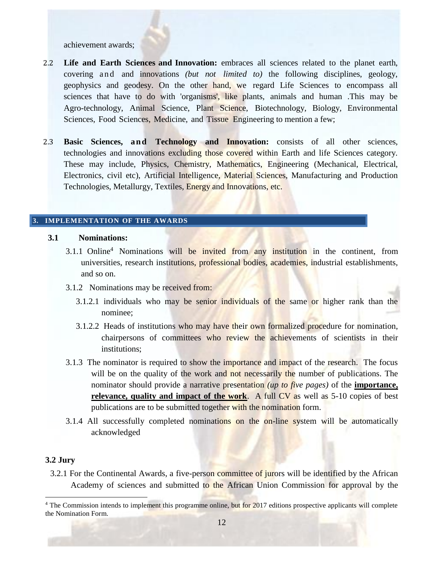achievement awards;

- 2.2 **Life and Earth Sciences and Innovation:** embraces all sciences related to the planet earth, covering and and innovations *(but not limited to)* the following disciplines, geology, geophysics and geodesy. On the other hand, we regard Life Sciences to encompass all sciences that have to do with 'organisms', like plants, animals and human .This may be Agro-technology, Animal Science, Plant Science, Biotechnology, Biology, Environmental Sciences, Food Sciences, Medicine, and Tissue Engineering to mention a few;
- 2.3 **Basic Sciences, and Technology and Innovation:** consists of all other sciences, technologies and innovations excluding those covered within Earth and life Sciences category. These may include, Physics, Chemistry, Mathematics, Engineering (Mechanical, Electrical, Electronics, civil etc), Artificial Intelligence, Material Sciences, Manufacturing and Production Technologies, Metallurgy, Textiles, Energy and Innovations, etc.

#### **3. IMPLEMENTATION OF THE AWARDS**

#### **3.1 Nominations:**

- 3.1.1 Online<sup>4</sup> Nominations will be invited from any institution in the continent, from universities, research institutions, professional bodies, academies, industrial establishments, and so on.
- 3.1.2 Nominations may be received from:
	- 3.1.2.1 individuals who may be senior individuals of the same or higher rank than the nominee;
	- 3.1.2.2 Heads of institutions who may have their own formalized procedure for nomination, chairpersons of committees who review the achievements of scientists in their institutions;
- 3.1.3 The nominator is required to show the importance and impact of the research. The focus will be on the quality of the work and not necessarily the number of publications. The nominator should provide a narrative presentation *(up to five pages)* of the **importance, relevance, quality and impact of the work.** A full CV as well as 5-10 copies of best publications are to be submitted together with the nomination form.
- 3.1.4 All successfully completed nominations on the on-line system will be automatically acknowledged

#### **3.2 Jury**

 $\overline{a}$ 

3.2.1 For the Continental Awards, a five-person committee of jurors will be identified by the African Academy of sciences and submitted to the African Union Commission for approval by the

<sup>&</sup>lt;sup>4</sup> The Commission intends to implement this programme online, but for 2017 editions prospective applicants will complete the Nomination Form.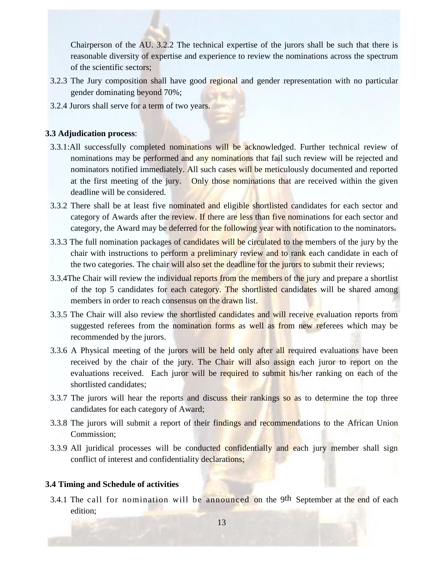Chairperson of the AU. 3.2.2 The technical expertise of the jurors shall be such that there is reasonable diversity of expertise and experience to review the nominations across the spectrum of the scientific sectors;

- 3.2.3 The Jury composition shall have good regional and gender representation with no particular gender dominating beyond 70%;
- 3.2.4 Jurors shall serve for a term of two years.

# **3.3 Adjudication process**:

- 3.3.1:All successfully completed nominations will be acknowledged. Further technical review of nominations may be performed and any nominations that fail such review will be rejected and nominators notified immediately. All such cases will be meticulously documented and reported at the first meeting of the jury. Only those nominations that are received within the given deadline will be considered.
- 3.3.2 There shall be at least five nominated and eligible shortlisted candidates for each sector and category of Awards after the review. If there are less than five nominations for each sector and category, the Award may be deferred for the following year with notification to the nominators.
- 3.3.3 The full nomination packages of candidates will be circulated to the members of the jury by the chair with instructions to perform a preliminary review and to rank each candidate in each of the two categories. The chair will also set the deadline for the jurors to submit their reviews;
- 3.3.4The Chair will review the individual reports from the members of the jury and prepare a shortlist of the top 5 candidates for each category. The shortlisted candidates will be shared among members in order to reach consensus on the drawn list.
- 3.3.5 The Chair will also review the shortlisted candidates and will receive evaluation reports from suggested referees from the nomination forms as well as from new referees which may be recommended by the jurors.
- 3.3.6 A Physical meeting of the jurors will be held only after all required evaluations have been received by the chair of the jury. The Chair will also assign each juror to report on the evaluations received. Each juror will be required to submit his/her ranking on each of the shortlisted candidates;
- 3.3.7 The jurors will hear the reports and discuss their rankings so as to determine the top three candidates for each category of Award;
- 3.3.8 The jurors will submit a report of their findings and recommendations to the African Union Commission;
- 3.3.9 All juridical processes will be conducted confidentially and each jury member shall sign conflict of interest and confidentiality declarations;

# **3.4 Timing and Schedule of activities**

3.4.1 The call for nomination will be announced on the 9<sup>th</sup> September at the end of each edition;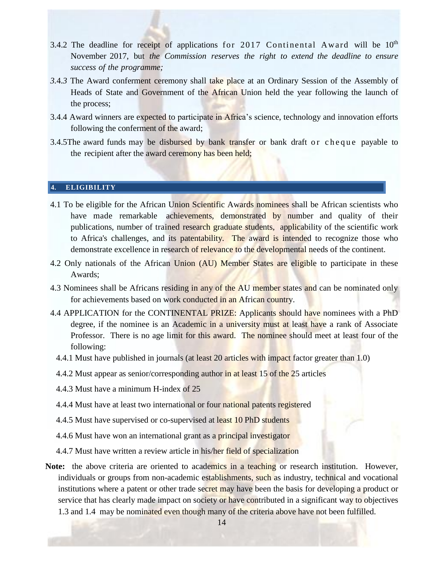- 3.4.2 The deadline [for](#page-5-0) receipt of applications for 2017 Continental Award will be  $10<sup>th</sup>$ November 2017, but *the Commission reserves the right to extend the deadline to ensure success of the programme;*
- *3.*4*.3* The Award conferment ceremony shall take place at an Ordinary Session of the Assembly of Heads of State and Government of the African Union held the year following the launch of the process;
- <span id="page-5-0"></span>3.4.4 Award winners are expected to participate in Africa's science, technology and innovation efforts following the conferment of the award;
- 3.4.5The award funds may be disbursed by bank transfer or bank draft or cheque payable to the recipient after the award ceremony has been held;

# **4. ELIGIBILITY**

- 4.1 To be eligible for the African Union Scientific Awards nominees shall be African scientists who have made remarkable achievements, demonstrated by number and quality of their publications, number of trained research graduate students, applicability of the scientific work to Africa's challenges, and its patentability. The award is intended to recognize those who demonstrate excellence in research of relevance to the developmental needs of the continent.
- 4.2 Only nationals of the African Union (AU) Member States are eligible to participate in these Awards;
- 4.3 Nominees shall be Africans residing in any of the AU member states and can be nominated only for achievements based on work conducted in an African country.
- 4.4 APPLICATION for the CONTINENTAL PRIZE: Applicants should have nominees with a PhD degree, if the nominee is an Academic in a university must at least have a rank of Associate Professor. There is no age limit for this award. The nominee should meet at least four of the following:
	- 4.4.1 Must have published in journals (at least 20 articles with impact factor greater than 1.0)
	- 4.4.2 Must appear as senior/corresponding author in at least 15 of the 25 articles
	- 4.4.3 Must have a minimum H-index of 25
	- 4.4.4 Must have at least two international or four national patents registered
	- 4.4.5 Must have supervised or co-supervised at least 10 PhD students
	- 4.4.6 Must have won an international grant as a principal investigator
	- 4.4.7 Must have written a review article in his/her field of specialization
- Note: the above criteria are oriented to academics in a teaching or research institution. However, individuals or groups from non-academic establishments, such as industry, technical and vocational institutions where a patent or other trade secret may have been the basis for developing a product or service that has clearly made impact on society or have contributed in a significant way to objectives 1.3 and 1.4 may be nominated even though many of the criteria above have not been fulfilled.